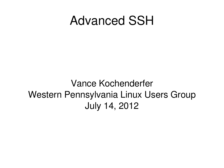#### Advanced SSH

#### Vance Kochenderfer Western Pennsylvania Linux Users Group July 14, 2012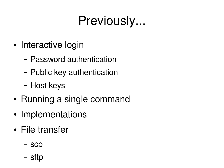## Previously...

- Interactive login
	- Password authentication
	- Public key authentication
	- Host keys
- Running a single command
- Implementations
- File transfer
	- scp
	- sftp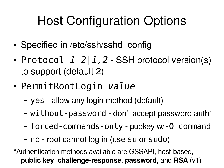# Host Configuration Options

- Specified in /etc/ssh/sshd\_config
- Protocol  $1|2|1,2$  SSH protocol version(s) to support (default 2)
- PermitRootLogin value
	- yes allow any login method (default)
	- without-password don't accept password auth\*
	- forced-commands-only-pubkey w/-0 command
	- no root cannot log in (use su or sudo)

\*Authentication methods available are GSSAPI, host-based, **public key**, **challenge-response**, **password,** and **RSA** (v1)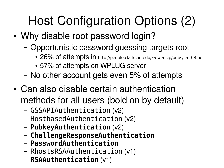# Host Configuration Options (2)

- Why disable root password login?
	- Opportunistic password guessing targets root
		- 26% of attempts in http://people.clarkson.edu/~owensjp/pubs/leet08.pdf
		- 57% of attempts on WPLUG server
	- No other account gets even 5% of attempts
- Can also disable certain authentication methods for all users (bold on by default)
	- GSSAPIAuthentication (v2)
	- HostbasedAuthentication (v2)
	- PubkeyAuthentication (v2)
	- ChallengeResponseAuthentication
	- PasswordAuthentication
	- RhostsRSAAuthentication (v1)
	- RSAAuthentication (v1)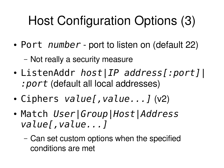# Host Configuration Options (3)

- Port number port to listen on (default 22)
	- Not really a security measure
- ListenAddr *host\IP address[:port]\* : port (default all local addresses)
- Ciphers value[, value...] (v2)
- Match User|Group|Host|Address value[, value...]
	- Can set custom options when the specified conditions are met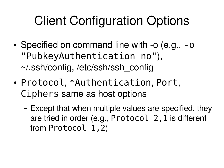## Client Configuration Options

- Specified on command line with -o (e.g., -o "PubkeyAuthentication no"), ~/.ssh/config, /etc/ssh/ssh\_config
- Protocol, \*Authentication, Port, Ciphers same as host options
	- Except that when multiple values are specified, they are tried in order (e.g.,  $Protocol$   $2$ ,  $1$  is different from Protocol 1,2)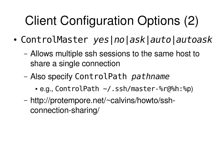# Client Configuration Options (2)

- ControlMaster yes|no|ask|auto|autoask
	- Allows multiple ssh sessions to the same host to share a single connection
	- Also specify ControlPath pathname
		- •e.g., ControlPath ~/.ssh/master-%r@%h:%p)
	- http://protempore.net/~calvins/howto/sshconnection-sharing/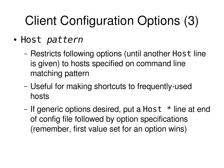# Client Configuration Options (3)

- · Host pattern
	- Restricts following options (until another Host line is given) to hosts specified on command line matching pattern
	- Useful for making shortcuts to frequently-used hosts
	- If generic options desired, put a Host \* line at end of config file followed by option specifications (remember, first value set for an option wins)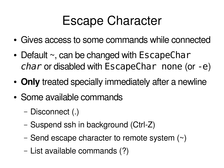#### Escape Character

- Gives access to some commands while connected
- $\bullet$  Default  $\sim$ , can be changed with EscapeChar  $char$  or disabled with  $EscapeChar$  none (or -e)
- **Only** treated specially immediately after a newline
- Some available commands
	- Disconnect (.)
	- Suspend ssh in background (Ctrl-Z)
	- Send escape character to remote system (~)
	- List available commands (?)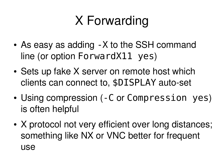# X Forwarding

- As easy as adding X to the SSH command line (or option ForwardX11 yes)
- Sets up fake X server on remote host which clients can connect to, \$DISPLAY auto-set
- Using compression (-C or Compression yes) is often helpful
- X protocol not very efficient over long distances; something like NX or VNC better for frequent use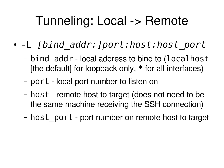#### Tunneling: Local -> Remote

- -L [bind\_addr:]port:host:host\_port
	- bind\_addr local address to bind to (localhost [the default] for loopback only,  $*$  for all interfaces)
	- port local port number to listen on
	- host remote host to target (does not need to be the same machine receiving the SSH connection)
	- host\_port port number on remote host to target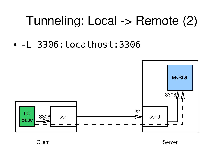#### Tunneling: Local -> Remote (2)

• -L 3306:localhost:3306



Client **Server** Server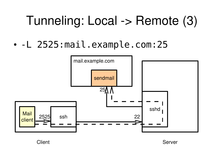#### Tunneling: Local -> Remote (3)

• -L 2525:mail.example.com:25



Client **Server** Server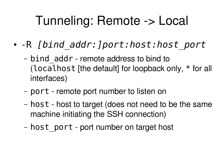### Tunneling: Remote -> Local

- -R [bind\_addr:]port:host:host\_port
	- bind\_addr remote address to bind to (localhost [the default] for loopback only,  $*$  for all interfaces)
	- port remote port number to listen on
	- host host to target (does not need to be the same machine initiating the SSH connection)
	- host\_port port number on target host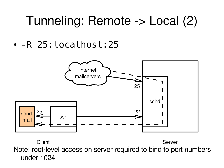#### Tunneling: Remote -> Local (2)

• - R 25: localhost: 25



Note: root-level access on server required to bind to port numbers under 1024 Client **Server** Server